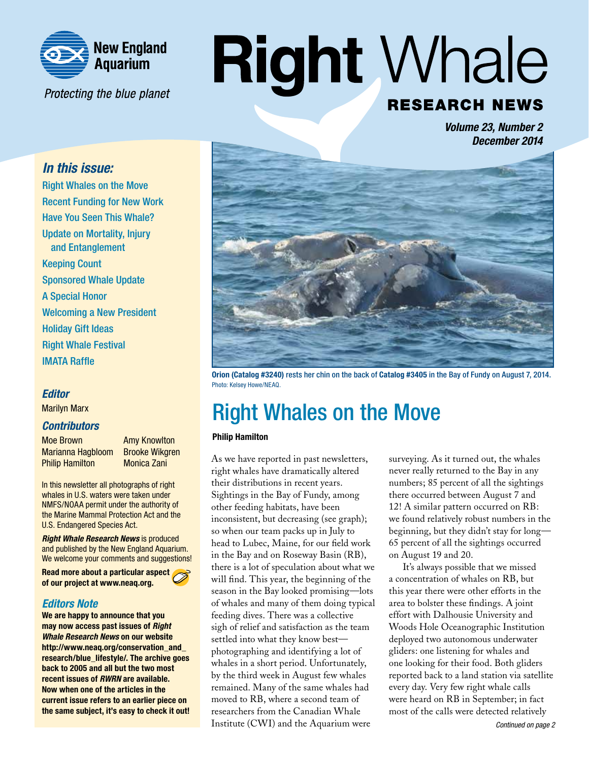

Protecting the blue planet

# **Right Whale RESEARCH NEWS**

*Volume 23, Number 2 December 2014*

## *In this issue:*

Right Whales on the Move Recent Funding for New Work Have You Seen This Whale? Update on Mortality, Injury and Entanglement Keeping Count Sponsored Whale Update A Special Honor Welcoming a New President Holiday Gift Ideas Right Whale Festival IMATA Raffle

### *Editor*

Marilyn Marx

### *Contributors*

Moe Brown **Amy Knowlton** Marianna Hagbloom Brooke Wikgren Philip Hamilton Monica Zani

In this newsletter all photographs of right whales in U.S. waters were taken under NMFS/NOAA permit under the authority of the Marine Mammal Protection Act and the U.S. Endangered Species Act.

*Right Whale Research News* is produced and published by the New England Aquarium. We welcome your comments and suggestions!

Read more about a particular aspect of our project at www.neaq.org.

### *Editors Note*

We are happy to announce that you may now access past issues of *Right Whale Research News* on our website http://www.neag.org/conservation\_and research/blue\_lifestyle/. The archive goes back to 2005 and all but the two most recent issues of *RWRN* are available. Now when one of the articles in the current issue refers to an earlier piece on the same subject, it's easy to check it out!



Orion (Catalog #3240) rests her chin on the back of Catalog #3405 in the Bay of Fundy on August 7, 2014. Photo: Kelsey Howe/NEAQ.

# Right Whales on the Move

#### Philip Hamilton

As we have reported in past newsletters, right whales have dramatically altered their distributions in recent years. Sightings in the Bay of Fundy, among other feeding habitats, have been inconsistent, but decreasing (see graph); so when our team packs up in July to head to Lubec, Maine, for our field work in the Bay and on Roseway Basin (RB), there is a lot of speculation about what we will find. This year, the beginning of the season in the Bay looked promising—lots of whales and many of them doing typical feeding dives. There was a collective sigh of relief and satisfaction as the team settled into what they know best photographing and identifying a lot of whales in a short period. Unfortunately, by the third week in August few whales remained. Many of the same whales had moved to RB, where a second team of researchers from the Canadian Whale Institute (CWI) and the Aquarium were

surveying. As it turned out, the whales never really returned to the Bay in any numbers; 85 percent of all the sightings there occurred between August 7 and 12! A similar pattern occurred on RB: we found relatively robust numbers in the beginning, but they didn't stay for long— 65 percent of all the sightings occurred on August 19 and 20.

It's always possible that we missed a concentration of whales on RB, but this year there were other efforts in the area to bolster these findings. A joint effort with Dalhousie University and Woods Hole Oceanographic Institution deployed two autonomous underwater gliders: one listening for whales and one looking for their food. Both gliders reported back to a land station via satellite every day. Very few right whale calls were heard on RB in September; in fact most of the calls were detected relatively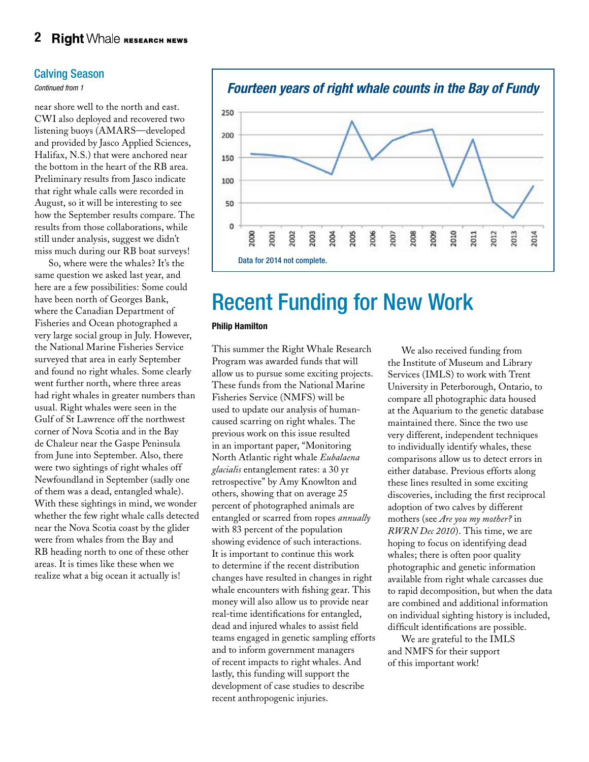### Calving Season

*Continued from 1*

near shore well to the north and east. CWI also deployed and recovered two listening buoys (AMARS—developed and provided by Jasco Applied Sciences, Halifax, N.S.) that were anchored near the bottom in the heart of the RB area. Preliminary results from Jasco indicate that right whale calls were recorded in August, so it will be interesting to see how the September results compare. The results from those collaborations, while still under analysis, suggest we didn't miss much during our RB boat surveys!

So, where were the whales? It's the same question we asked last year, and here are a few possibilities: Some could have been north of Georges Bank, where the Canadian Department of Fisheries and Ocean photographed a very large social group in July. However, the National Marine Fisheries Service surveyed that area in early September and found no right whales. Some clearly went further north, where three areas had right whales in greater numbers than usual. Right whales were seen in the Gulf of St Lawrence off the northwest corner of Nova Scotia and in the Bay de Chaleur near the Gaspe Peninsula from June into September. Also, there were two sightings of right whales off Newfoundland in September (sadly one of them was a dead, entangled whale). With these sightings in mind, we wonder whether the few right whale calls detected near the Nova Scotia coast by the glider were from whales from the Bay and RB heading north to one of these other areas. It is times like these when we realize what a big ocean it actually is!



# Recent Funding for New Work

#### Philip Hamilton

This summer the Right Whale Research Program was awarded funds that will allow us to pursue some exciting projects. These funds from the National Marine Fisheries Service (NMFS) will be used to update our analysis of humancaused scarring on right whales. The previous work on this issue resulted in an important paper, "Monitoring North Atlantic right whale *Eubalaena glacialis* entanglement rates: a 30 yr retrospective" by Amy Knowlton and others, showing that on average 25 percent of photographed animals are entangled or scarred from ropes *annually* with 83 percent of the population showing evidence of such interactions. It is important to continue this work to determine if the recent distribution changes have resulted in changes in right whale encounters with fishing gear. This money will also allow us to provide near real-time identifications for entangled, dead and injured whales to assist field teams engaged in genetic sampling efforts and to inform government managers of recent impacts to right whales. And lastly, this funding will support the development of case studies to describe recent anthropogenic injuries.

We also received funding from the Institute of Museum and Library Services (IMLS) to work with Trent University in Peterborough, Ontario, to compare all photographic data housed at the Aquarium to the genetic database maintained there. Since the two use very different, independent techniques to individually identify whales, these comparisons allow us to detect errors in either database. Previous efforts along these lines resulted in some exciting discoveries, including the first reciprocal adoption of two calves by different mothers (see *Are you my mother?* in *RWRN Dec 2010*). This time, we are hoping to focus on identifying dead whales; there is often poor quality photographic and genetic information available from right whale carcasses due to rapid decomposition, but when the data are combined and additional information on individual sighting history is included, difficult identifications are possible.

We are grateful to the IMLS and NMFS for their support of this important work!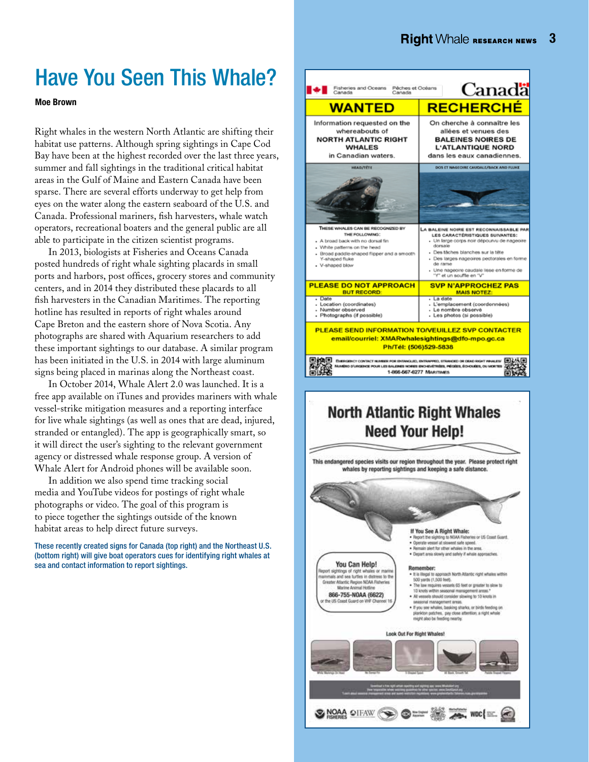# Have You Seen This Whale?

Moe Brown

Right whales in the western North Atlantic are shifting their habitat use patterns. Although spring sightings in Cape Cod Bay have been at the highest recorded over the last three years, summer and fall sightings in the traditional critical habitat areas in the Gulf of Maine and Eastern Canada have been sparse. There are several efforts underway to get help from eyes on the water along the eastern seaboard of the U.S. and Canada. Professional mariners, fish harvesters, whale watch operators, recreational boaters and the general public are all able to participate in the citizen scientist programs.

In 2013, biologists at Fisheries and Oceans Canada posted hundreds of right whale sighting placards in small ports and harbors, post offices, grocery stores and community centers, and in 2014 they distributed these placards to all fish harvesters in the Canadian Maritimes. The reporting hotline has resulted in reports of right whales around Cape Breton and the eastern shore of Nova Scotia. Any photographs are shared with Aquarium researchers to add these important sightings to our database. A similar program has been initiated in the U.S. in 2014 with large aluminum signs being placed in marinas along the Northeast coast.

In October 2014, Whale Alert 2.0 was launched. It is a free app available on iTunes and provides mariners with whale vessel-strike mitigation measures and a reporting interface for live whale sightings (as well as ones that are dead, injured, stranded or entangled). The app is geographically smart, so it will direct the user's sighting to the relevant government agency or distressed whale response group. A version of Whale Alert for Android phones will be available soon.

In addition we also spend time tracking social media and YouTube videos for postings of right whale photographs or video. The goal of this program is to piece together the sightings outside of the known habitat areas to help direct future surveys.

These recently created signs for Canada (top right) and the Northeast U.S. (bottom right) will give boat operators cues for identifying right whales at sea and contact information to report sightings.



## **North Atlantic Right Whales Need Your Help!**

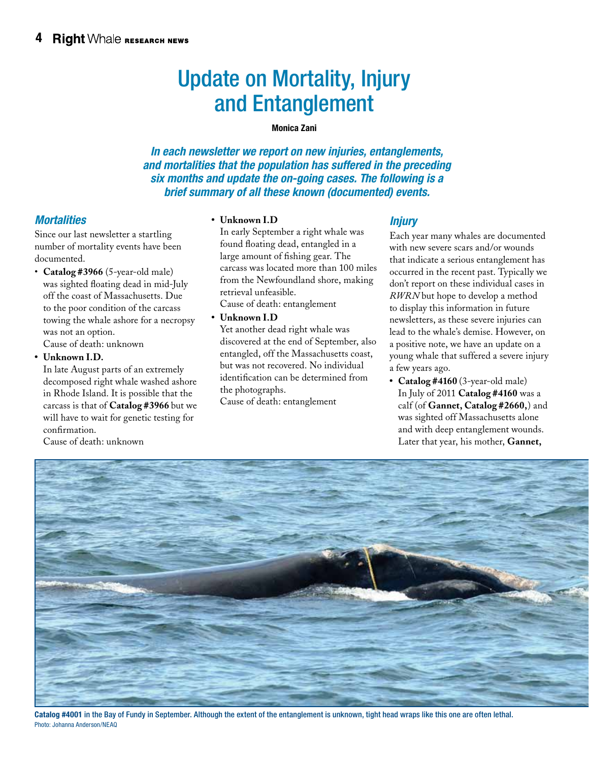# Update on Mortality, Injury and Entanglement

#### Monica Zani

*In each newsletter we report on new injuries, entanglements, and mortalities that the population has suffered in the preceding six months and update the on-going cases. The following is a brief summary of all these known (documented) events.*

## *Mortalities*

Since our last newsletter a startling number of mortality events have been documented.

• **Catalog #3966** (5-year-old male) was sighted floating dead in mid-July off the coast of Massachusetts. Due to the poor condition of the carcass towing the whale ashore for a necropsy was not an option. Cause of death: unknown

**• Unknown I.D.**

In late August parts of an extremely decomposed right whale washed ashore in Rhode Island. It is possible that the carcass is that of **Catalog #3966** but we will have to wait for genetic testing for confirmation.

Cause of death: unknown

#### **• Unknown I.D**

In early September a right whale was found floating dead, entangled in a large amount of fishing gear. The carcass was located more than 100 miles from the Newfoundland shore, making retrieval unfeasible.

Cause of death: entanglement

**• Unknown I.D**

Yet another dead right whale was discovered at the end of September, also entangled, off the Massachusetts coast, but was not recovered. No individual identification can be determined from the photographs.

Cause of death: entanglement

## *Injury*

Each year many whales are documented with new severe scars and/or wounds that indicate a serious entanglement has occurred in the recent past. Typically we don't report on these individual cases in *RWRN* but hope to develop a method to display this information in future newsletters, as these severe injuries can lead to the whale's demise. However, on a positive note, we have an update on a young whale that suffered a severe injury a few years ago.

**• Catalog #4160** (3-year-old male) In July of 2011 **Catalog #4160** was a calf (of **Gannet, Catalog #2660,**) and was sighted off Massachusetts alone and with deep entanglement wounds. Later that year, his mother, **Gannet,** 



Catalog #4001 in the Bay of Fundy in September. Although the extent of the entanglement is unknown, tight head wraps like this one are often lethal. Photo: Johanna Anderson/NEAQ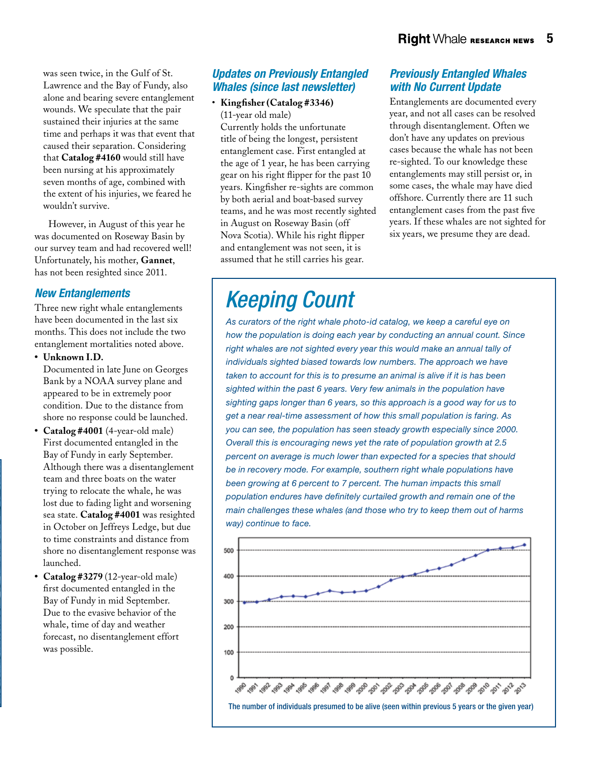was seen twice, in the Gulf of St. Lawrence and the Bay of Fundy, also alone and bearing severe entanglement wounds. We speculate that the pair sustained their injuries at the same time and perhaps it was that event that caused their separation. Considering that **Catalog #4160** would still have been nursing at his approximately seven months of age, combined with the extent of his injuries, we feared he wouldn't survive.

However, in August of this year he was documented on Roseway Basin by our survey team and had recovered well! Unfortunately, his mother, **Gannet**, has not been resighted since 2011.

## *New Entanglements*

Three new right whale entanglements have been documented in the last six months. This does not include the two entanglement mortalities noted above.

#### **• Unknown I.D.**

Documented in late June on Georges Bank by a NOAA survey plane and appeared to be in extremely poor condition. Due to the distance from shore no response could be launched.

- **• Catalog #4001** (4-year-old male) First documented entangled in the Bay of Fundy in early September. Although there was a disentanglement team and three boats on the water trying to relocate the whale, he was lost due to fading light and worsening sea state. **Catalog #4001** was resighted in October on Jeffreys Ledge, but due to time constraints and distance from shore no disentanglement response was launched.
- **• Catalog #3279** (12-year-old male) first documented entangled in the Bay of Fundy in mid September. Due to the evasive behavior of the whale, time of day and weather forecast, no disentanglement effort was possible.

## *Updates on Previously Entangled Whales (since last newsletter)*

• **Kingfisher (Catalog #3346)** (11-year old male)

Currently holds the unfortunate title of being the longest, persistent entanglement case. First entangled at the age of 1 year, he has been carrying gear on his right flipper for the past 10 years. Kingfisher re-sights are common by both aerial and boat-based survey teams, and he was most recently sighted in August on Roseway Basin (off Nova Scotia). While his right flipper and entanglement was not seen, it is assumed that he still carries his gear.

## *Previously Entangled Whales with No Current Update*

Entanglements are documented every year, and not all cases can be resolved through disentanglement. Often we don't have any updates on previous cases because the whale has not been re-sighted. To our knowledge these entanglements may still persist or, in some cases, the whale may have died offshore. Currently there are 11 such entanglement cases from the past five years. If these whales are not sighted for six years, we presume they are dead.

# *Keeping Count*

*As curators of the right whale photo-id catalog, we keep a careful eye on how the population is doing each year by conducting an annual count. Since right whales are not sighted every year this would make an annual tally of individuals sighted biased towards low numbers. The approach we have taken to account for this is to presume an animal is alive if it is has been sighted within the past 6 years. Very few animals in the population have sighting gaps longer than 6 years, so this approach is a good way for us to get a near real-time assessment of how this small population is faring. As you can see, the population has seen steady growth especially since 2000. Overall this is encouraging news yet the rate of population growth at 2.5 percent on average is much lower than expected for a species that should be in recovery mode. For example, southern right whale populations have been growing at 6 percent to 7 percent. The human impacts this small population endures have definitely curtailed growth and remain one of the main challenges these whales (and those who try to keep them out of harms way) continue to face.* 

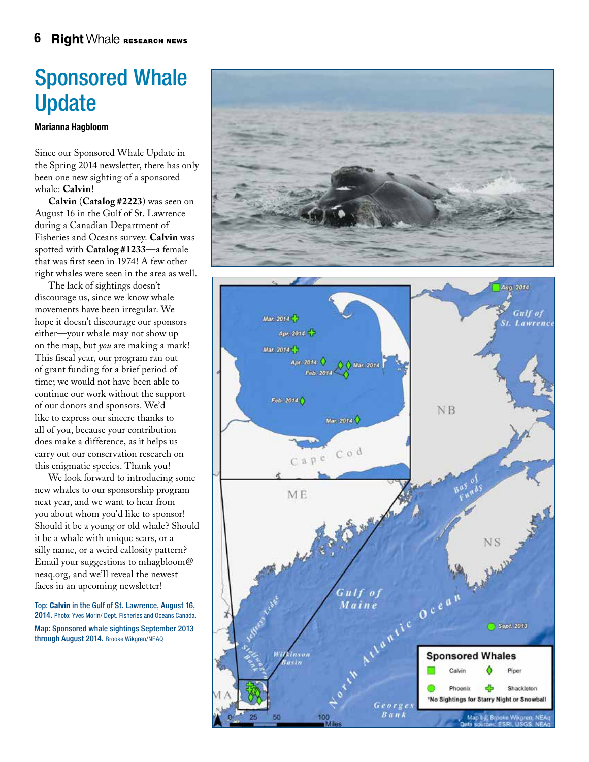# Sponsored Whale Update

#### Marianna Hagbloom

Since our Sponsored Whale Update in the Spring 2014 newsletter, there has only been one new sighting of a sponsored whale: **Calvin**!

**Calvin** (**Catalog #2223**) was seen on August 16 in the Gulf of St. Lawrence during a Canadian Department of Fisheries and Oceans survey. **Calvin** was spotted with **Catalog #1233**—a female that was first seen in 1974! A few other right whales were seen in the area as well.

The lack of sightings doesn't discourage us, since we know whale movements have been irregular. We hope it doesn't discourage our sponsors either—your whale may not show up on the map, but *you* are making a mark! This fiscal year, our program ran out of grant funding for a brief period of time; we would not have been able to continue our work without the support of our donors and sponsors. We'd like to express our sincere thanks to all of you, because your contribution does make a difference, as it helps us carry out our conservation research on this enigmatic species. Thank you!

We look forward to introducing some new whales to our sponsorship program next year, and we want to hear from you about whom you'd like to sponsor! Should it be a young or old whale? Should it be a whale with unique scars, or a silly name, or a weird callosity pattern? Email your suggestions to mhagbloom@ neaq.org, and we'll reveal the newest faces in an upcoming newsletter!

Top: Calvin in the Gulf of St. Lawrence, August 16, 2014. Photo: Yves Morin/ Dept. Fisheries and Oceans Canada. Map: Sponsored whale sightings September 2013 through August 2014. Brooke Wikgren/NEAQ

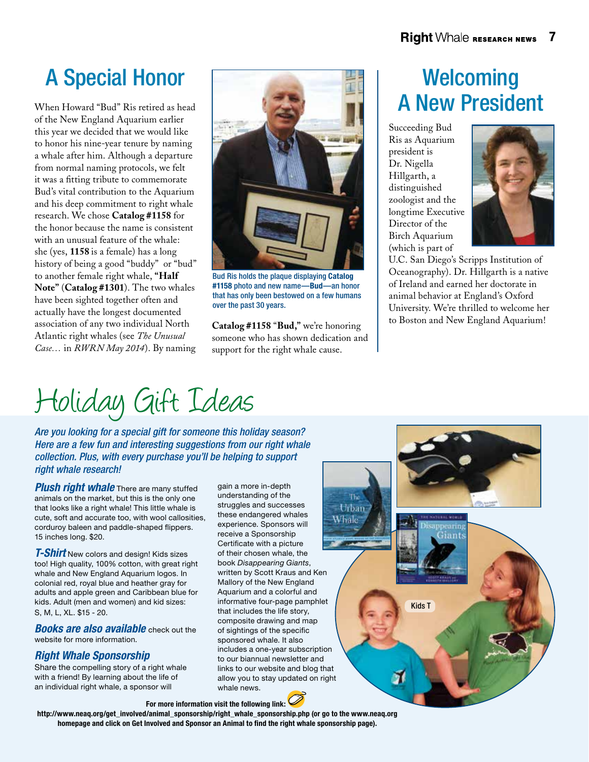When Howard "Bud" Ris retired as head of the New England Aquarium earlier this year we decided that we would like to honor his nine-year tenure by naming a whale after him. Although a departure from normal naming protocols, we felt it was a fitting tribute to commemorate Bud's vital contribution to the Aquarium and his deep commitment to right whale research. We chose **Catalog #1158** for the honor because the name is consistent with an unusual feature of the whale: she (yes, **1158** is a female) has a long history of being a good "buddy" or "bud" to another female right whale, **"Half Note"** (**Catalog #1301**). The two whales have been sighted together often and actually have the longest documented association of any two individual North Atlantic right whales (see *The Unusual Case…* in *RWRN May 2014*). By naming



Bud Ris holds the plaque displaying Catalog #1158 photo and new name—Bud—an honor that has only been bestowed on a few humans over the past 30 years.

**Catalog #1158** "**Bud,"** we're honoring someone who has shown dedication and support for the right whale cause.

# A New President

Succeeding Bud Ris as Aquarium president is Dr. Nigella Hillgarth, a distinguished zoologist and the longtime Executive Director of the Birch Aquarium (which is part of

Kids T

īю Urban Whale



U.C. San Diego's Scripps Institution of Oceanography). Dr. Hillgarth is a native of Ireland and earned her doctorate in animal behavior at England's Oxford University. We're thrilled to welcome her to Boston and New England Aquarium!

Holiday Gift Ideas

*Are you looking for a special gift for someone this holiday season? Here are a few fun and interesting suggestions from our right whale collection. Plus, with every purchase you'll be helping to support right whale research!*

**Plush right whale** There are many stuffed animals on the market, but this is the only one that looks like a right whale! This little whale is cute, soft and accurate too, with wool callosities, corduroy baleen and paddle-shaped flippers. 15 inches long. \$20.

*T-Shirt* New colors and design! Kids sizes too! High quality, 100% cotton, with great right whale and New England Aquarium logos. In colonial red, royal blue and heather gray for adults and apple green and Caribbean blue for kids. Adult (men and women) and kid sizes: S, M, L, XL. \$15 - 20.

*Books are also available* check out the website for more information.

## *Right Whale Sponsorship*

Share the compelling story of a right whale with a friend! By learning about the life of an individual right whale, a sponsor will

gain a more in-depth understanding of the struggles and successes these endangered whales experience. Sponsors will receive a Sponsorship Certificate with a picture of their chosen whale, the book *Disappearing Giants*, written by Scott Kraus and Ken Mallory of the New England Aquarium and a colorful and informative four-page pamphlet that includes the life story, composite drawing and map of sightings of the specific sponsored whale. It also includes a one-year subscription to our biannual newsletter and links to our website and blog that allow you to stay updated on right whale news.

For more information visit the following link:

http://www.neaq.org/get\_involved/animal\_sponsorship/right\_whale\_sponsorship.php (or go to the www.neaq.org homepage and click on Get Involved and Sponsor an Animal to find the right whale sponsorship page).